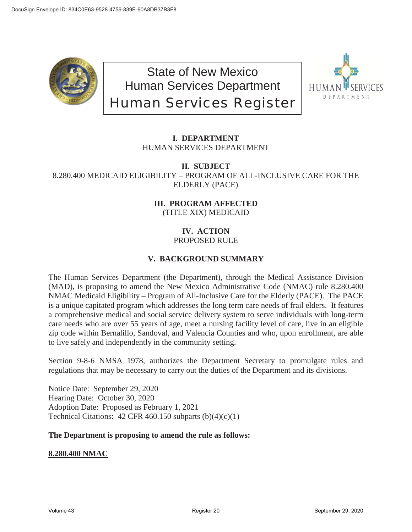

State of New Mexico Human Services Department Human Services Register



# **I. DEPARTMENT** HUMAN SERVICES DEPARTMENT

**II. SUBJECT** 8.280.400 MEDICAID ELIGIBILITY – PROGRAM OF ALL-INCLUSIVE CARE FOR THE ELDERLY (PACE)

## **III. PROGRAM AFFECTED** (TITLE XIX) MEDICAID

# **IV. ACTION**

# PROPOSED RULE

# **V. BACKGROUND SUMMARY**

The Human Services Department (the Department), through the Medical Assistance Division (MAD), is proposing to amend the New Mexico Administrative Code (NMAC) rule 8.280.400 NMAC Medicaid Eligibility – Program of All-Inclusive Care for the Elderly (PACE). The PACE is a unique capitated program which addresses the long term care needs of frail elders. It features a comprehensive medical and social service delivery system to serve individuals with long-term care needs who are over 55 years of age, meet a nursing facility level of care, live in an eligible zip code within Bernalillo, Sandoval, and Valencia Counties and who, upon enrollment, are able to live safely and independently in the community setting.

Section 9-8-6 NMSA 1978, authorizes the Department Secretary to promulgate rules and regulations that may be necessary to carry out the duties of the Department and its divisions.

Notice Date: September 29, 2020 Hearing Date: October 30, 2020 Adoption Date: Proposed as February 1, 2021 Technical Citations:  $42$  CFR 460.150 subparts  $(b)(4)(c)(1)$ 

#### **The Department is proposing to amend the rule as follows:**

**8.280.400 NMAC**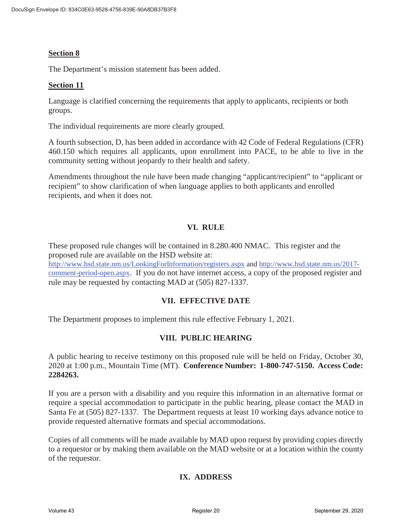# **Section 8**

The Department's mission statement has been added.

#### **Section 11**

Language is clarified concerning the requirements that apply to applicants, recipients or both groups.

The individual requirements are more clearly grouped.

A fourth subsection, D, has been added in accordance with 42 Code of Federal Regulations (CFR) 460.150 which requires all applicants, upon enrollment into PACE, to be able to live in the community setting without jeopardy to their health and safety.

Amendments throughout the rule have been made changing "applicant/recipient" to "applicant or recipient" to show clarification of when language applies to both applicants and enrolled recipients, and when it does not.

## **VI. RULE**

These proposed rule changes will be contained in 8.280.400 NMAC. This register and the proposed rule are available on the HSD website at: http://www.hsd.state.nm.us/LookingForInformation/registers.aspx and http://www.hsd.state.nm.us/2017 comment-period-open.aspx. If you do not have internet access, a copy of the proposed register and rule may be requested by contacting MAD at (505) 827-1337.

#### **VII. EFFECTIVE DATE**

The Department proposes to implement this rule effective February 1, 2021.

#### **VIII. PUBLIC HEARING**

A public hearing to receive testimony on this proposed rule will be held on Friday, October 30, 2020 at 1:00 p.m., Mountain Time (MT). **Conference Number: 1-800-747-5150. Access Code: 2284263.** 

If you are a person with a disability and you require this information in an alternative format or require a special accommodation to participate in the public hearing, please contact the MAD in Santa Fe at (505) 827-1337. The Department requests at least 10 working days advance notice to provide requested alternative formats and special accommodations.

Copies of all comments will be made available by MAD upon request by providing copies directly to a requestor or by making them available on the MAD website or at a location within the county of the requestor.

# **IX. ADDRESS**